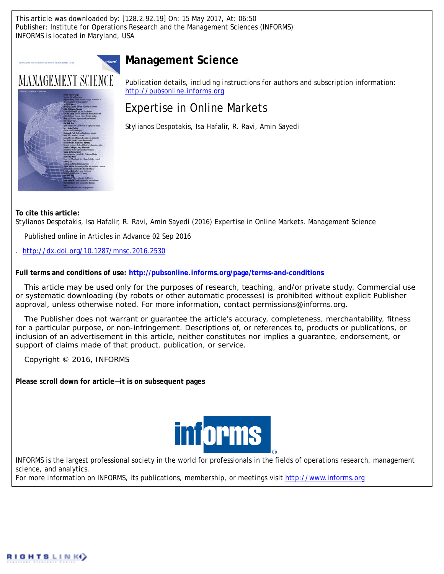This article was downloaded by: [128.2.92.19] On: 15 May 2017, At: 06:50 Publisher: Institute for Operations Research and the Management Sciences (INFORMS) INFORMS is located in Maryland, USA

# **Management Science**



Publication details, including instructions for authors and subscription information: <http://pubsonline.informs.org>

# Expertise in Online Markets

Stylianos Despotakis, Isa Hafalir, R. Ravi, Amin Sayedi

**To cite this article:**

Stylianos Despotakis, Isa Hafalir, R. Ravi, Amin Sayedi (2016) Expertise in Online Markets. Management Science

Published online in Articles in Advance 02 Sep 2016

. <http://dx.doi.org/10.1287/mnsc.2016.2530>

**Full terms and conditions of use: <http://pubsonline.informs.org/page/terms-and-conditions>**

This article may be used only for the purposes of research, teaching, and/or private study. Commercial use or systematic downloading (by robots or other automatic processes) is prohibited without explicit Publisher approval, unless otherwise noted. For more information, contact permissions@informs.org.

The Publisher does not warrant or guarantee the article's accuracy, completeness, merchantability, fitness for a particular purpose, or non-infringement. Descriptions of, or references to, products or publications, or inclusion of an advertisement in this article, neither constitutes nor implies a guarantee, endorsement, or support of claims made of that product, publication, or service.

Copyright © 2016, INFORMS

**Please scroll down for article—it is on subsequent pages**



INFORMS is the largest professional society in the world for professionals in the fields of operations research, management science, and analytics.

For more information on INFORMS, its publications, membership, or meetings visit <http://www.informs.org>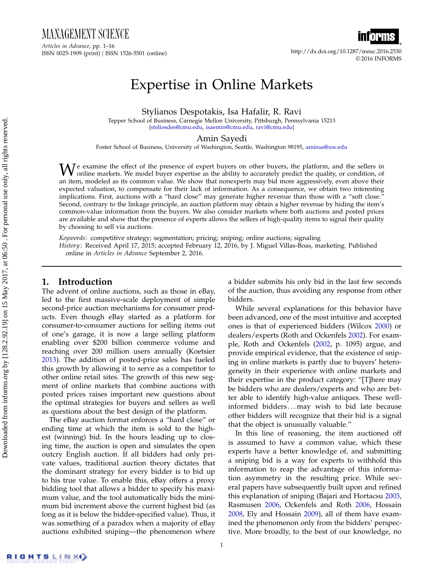MANAGEMENT SCIENCE Articles in Advance, pp. 1–16 ISSN 0025-1909 (print) ISSN 1526-5501 (online) http://dx.doi.org/10.1287/mnsc.2016.2530



© 2016 INFORMS

# Expertise in Online Markets

Stylianos Despotakis, Isa Hafalir, R. Ravi

Tepper School of Business, Carnegie Mellon University, Pittsburgh, Pennsylvania 15213 [{steliosdes@cmu.edu,](mailto:steliosdes@cmu.edu) [isaemin@cmu.edu,](mailto:isaemin@cmu.edu) [ravi@cmu.edu}](mailto:ravi@cmu.edu)

Amin Sayedi

Foster School of Business, University of Washington, Seattle, Washington 98195, [aminsa@uw.edu](mailto:aminsa@uw.edu)

 $\mathbf{W}$  examine the effect of the presence of expert buyers on other buyers, the platform, and the sellers in online markets. We model buyer expertise as the ability to accurately predict the quality, or condition, of an item, modeled as its common value. We show that nonexperts may bid more aggressively, even above their expected valuation, to compensate for their lack of information. As a consequence, we obtain two interesting implications. First, auctions with a "hard close" may generate higher revenue than those with a "soft close." Second, contrary to the linkage principle, an auction platform may obtain a higher revenue by hiding the item's common-value information from the buyers. We also consider markets where both auctions and posted prices are available and show that the presence of experts allows the sellers of high-quality items to signal their quality by choosing to sell via auctions.

Keywords: competitive strategy; segmentation; pricing; sniping; online auctions; signaling History: Received April 17, 2015; accepted February 12, 2016, by J. Miguel Villas-Boas, marketing. Published online in Articles in Advance September 2, 2016.

# 1. Introduction

The advent of online auctions, such as those in eBay, led to the first massive-scale deployment of simple second-price auction mechanisms for consumer products. Even though eBay started as a platform for consumer-to-consumer auctions for selling items out of one's garage, it is now a large selling platform enabling over \$200 billion commerce volume and reaching over 200 million users annually (Koetsier [2013\)](#page-16-0). The addition of posted-price sales has fueled this growth by allowing it to serve as a competitor to other online retail sites. The growth of this new segment of online markets that combine auctions with posted prices raises important new questions about the optimal strategies for buyers and sellers as well as questions about the best design of the platform.

The eBay auction format enforces a "hard close" or ending time at which the item is sold to the highest (winning) bid. In the hours leading up to closing time, the auction is open and simulates the open outcry English auction. If all bidders had only private values, traditional auction theory dictates that the dominant strategy for every bidder is to bid up to his true value. To enable this, eBay offers a proxy bidding tool that allows a bidder to specify his maximum value, and the tool automatically bids the minimum bid increment above the current highest bid (as long as it is below the bidder-specified value). Thus, it was something of a paradox when a majority of eBay auctions exhibited sniping—the phenomenon where a bidder submits his only bid in the last few seconds of the auction, thus avoiding any response from other bidders.

While several explanations for this behavior have been advanced, one of the most intuitive and accepted ones is that of experienced bidders (Wilcox [2000\)](#page-16-1) or dealers/experts (Roth and Ockenfels [2002\)](#page-16-2). For example, Roth and Ockenfels [\(2002,](#page-16-2) p. 1095) argue, and provide empirical evidence, that the existence of sniping in online markets is partly due to buyers' heterogeneity in their experience with online markets and their expertise in the product category: "[T]here may be bidders who are dealers/experts and who are better able to identify high-value antiques. These wellinformed bidders...may wish to bid late because other bidders will recognize that their bid is a signal that the object is unusually valuable."

In this line of reasoning, the item auctioned off is assumed to have a common value, which these experts have a better knowledge of, and submitting a sniping bid is a way for experts to withhold this information to reap the advantage of this information asymmetry in the resulting price. While several papers have subsequently built upon and refined this explanation of sniping (Bajari and Hortacsu [2003,](#page-16-3) Rasmusen [2006,](#page-16-4) Ockenfels and Roth [2006,](#page-16-5) Hossain [2008,](#page-16-6) Ely and Hossain [2009\)](#page-16-7), all of them have examined the phenomenon only from the bidders' perspective. More broadly, to the best of our knowledge, no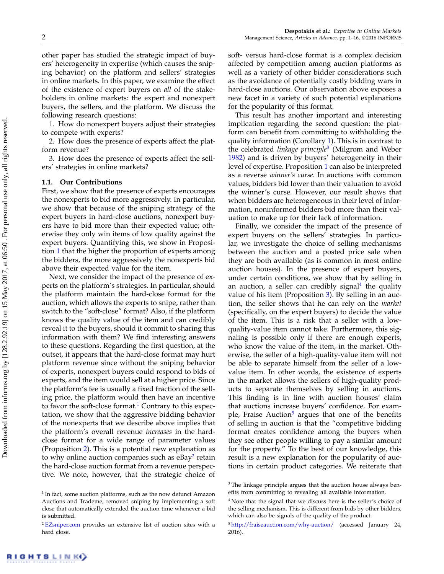other paper has studied the strategic impact of buyers' heterogeneity in expertise (which causes the sniping behavior) on the platform and sellers' strategies in online markets. In this paper, we examine the effect of the existence of expert buyers on all of the stakeholders in online markets: the expert and nonexpert buyers, the sellers, and the platform. We discuss the following research questions:

1. How do nonexpert buyers adjust their strategies to compete with experts?

2. How does the presence of experts affect the platform revenue?

3. How does the presence of experts affect the sellers' strategies in online markets?

### 1.1. Our Contributions

First, we show that the presence of experts encourages the nonexperts to bid more aggressively. In particular, we show that because of the sniping strategy of the expert buyers in hard-close auctions, nonexpert buyers have to bid more than their expected value; otherwise they only win items of low quality against the expert buyers. Quantifying this, we show in Proposition [1](#page-6-0) that the higher the proportion of experts among the bidders, the more aggressively the nonexperts bid above their expected value for the item.

Next, we consider the impact of the presence of experts on the platform's strategies. In particular, should the platform maintain the hard-close format for the auction, which allows the experts to snipe, rather than switch to the "soft-close" format? Also, if the platform knows the quality value of the item and can credibly reveal it to the buyers, should it commit to sharing this information with them? We find interesting answers to these questions. Regarding the first question, at the outset, it appears that the hard-close format may hurt platform revenue since without the sniping behavior of experts, nonexpert buyers could respond to bids of experts, and the item would sell at a higher price. Since the platform's fee is usually a fixed fraction of the selling price, the platform would then have an incentive to favor the soft-close format.<sup>[1](#page-2-0)</sup> Contrary to this expectation, we show that the aggressive bidding behavior of the nonexperts that we describe above implies that the platform's overall revenue increases in the hardclose format for a wide range of parameter values (Proposition [2\)](#page-8-0). This is a potential new explanation as to why online auction companies such as  $e$ Bay $^2$  $^2$  retain the hard-close auction format from a revenue perspective. We note, however, that the strategic choice of soft- versus hard-close format is a complex decision affected by competition among auction platforms as well as a variety of other bidder considerations such as the avoidance of potentially costly bidding wars in hard-close auctions. Our observation above exposes a new facet in a variety of such potential explanations for the popularity of this format.

This result has another important and interesting implication regarding the second question: the platform can benefit from committing to withholding the quality information (Corollary [1\)](#page-8-1). This is in contrast to the celebrated linkage principle<sup>[3](#page-2-2)</sup> (Milgrom and Weber [1982\)](#page-16-8) and is driven by buyers' heterogeneity in their level of expertise. Proposition [1](#page-6-0) can also be interpreted as a reverse winner's curse. In auctions with common values, bidders bid lower than their valuation to avoid the winner's curse. However, our result shows that when bidders are heterogeneous in their level of information, noninformed bidders bid more than their valuation to make up for their lack of information.

Finally, we consider the impact of the presence of expert buyers on the sellers' strategies. In particular, we investigate the choice of selling mechanisms between the auction and a posted price sale when they are both available (as is common in most online auction houses). In the presence of expert buyers, under certain conditions, we show that by selling in an auction, a seller can credibly signal<sup>[4](#page-2-3)</sup> the quality value of his item (Proposition [3\)](#page-10-0). By selling in an auction, the seller shows that he can rely on the market (specifically, on the expert buyers) to decide the value of the item. This is a risk that a seller with a lowquality-value item cannot take. Furthermore, this signaling is possible only if there are enough experts, who know the value of the item, in the market. Otherwise, the seller of a high-quality-value item will not be able to separate himself from the seller of a lowvalue item. In other words, the existence of experts in the market allows the sellers of high-quality products to separate themselves by selling in auctions. This finding is in line with auction houses' claim that auctions increase buyers' confidence. For exam-ple, Fraise Auction<sup>[5](#page-2-4)</sup> argues that one of the benefits of selling in auction is that the "competitive bidding format creates confidence among the buyers when they see other people willing to pay a similar amount for the property." To the best of our knowledge, this result is a new explanation for the popularity of auctions in certain product categories. We reiterate that

<span id="page-2-0"></span><sup>&</sup>lt;sup>1</sup> In fact, some auction platforms, such as the now defunct Amazon Auctions and Trademe, removed sniping by implementing a soft close that automatically extended the auction time whenever a bid is submitted.

<span id="page-2-1"></span><sup>2</sup> [EZsniper.com](http://EZsniper.com) provides an extensive list of auction sites with a hard close.

<span id="page-2-2"></span><sup>&</sup>lt;sup>3</sup> The linkage principle argues that the auction house always benefits from committing to revealing all available information.

<span id="page-2-3"></span><sup>&</sup>lt;sup>4</sup> Note that the signal that we discuss here is the seller's choice of the selling mechanism. This is different from bids by other bidders, which can also be signals of the quality of the product.

<span id="page-2-4"></span><sup>5</sup> <http://fraiseauction.com/why-auction/> (accessed January 24, 2016).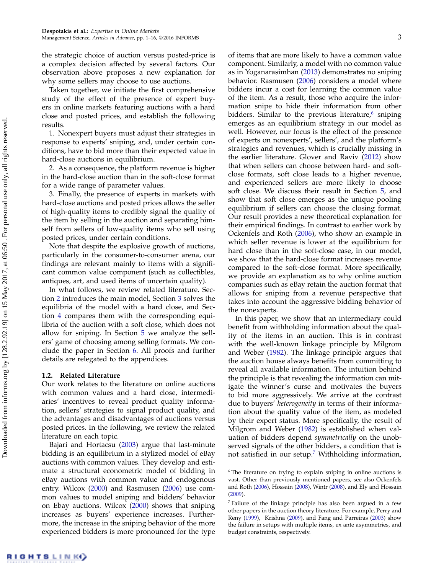the strategic choice of auction versus posted-price is a complex decision affected by several factors. Our observation above proposes a new explanation for why some sellers may choose to use auctions.

Taken together, we initiate the first comprehensive study of the effect of the presence of expert buyers in online markets featuring auctions with a hard close and posted prices, and establish the following results.

1. Nonexpert buyers must adjust their strategies in response to experts' sniping, and, under certain conditions, have to bid more than their expected value in hard-close auctions in equilibrium.

2. As a consequence, the platform revenue is higher in the hard-close auction than in the soft-close format for a wide range of parameter values.

3. Finally, the presence of experts in markets with hard-close auctions and posted prices allows the seller of high-quality items to credibly signal the quality of the item by selling in the auction and separating himself from sellers of low-quality items who sell using posted prices, under certain conditions.

Note that despite the explosive growth of auctions, particularly in the consumer-to-consumer arena, our findings are relevant mainly to items with a significant common value component (such as collectibles, antiques, art, and used items of uncertain quality).

In what follows, we review related literature. Section [2](#page-4-0) introduces the main model, Section [3](#page-6-1) solves the equilibria of the model with a hard close, and Section [4](#page-7-0) compares them with the corresponding equilibria of the auction with a soft close, which does not allow for sniping. In Section [5](#page-9-0) we analyze the sellers' game of choosing among selling formats. We conclude the paper in Section [6.](#page-11-0) All proofs and further details are relegated to the appendices.

# 1.2. Related Literature

Our work relates to the literature on online auctions with common values and a hard close, intermediaries' incentives to reveal product quality information, sellers' strategies to signal product quality, and the advantages and disadvantages of auctions versus posted prices. In the following, we review the related literature on each topic.

Bajari and Hortacsu [\(2003\)](#page-16-3) argue that last-minute bidding is an equilibrium in a stylized model of eBay auctions with common values. They develop and estimate a structural econometric model of bidding in eBay auctions with common value and endogenous entry. Wilcox [\(2000\)](#page-16-1) and Rasmusen [\(2006\)](#page-16-4) use common values to model sniping and bidders' behavior on Ebay auctions. Wilcox [\(2000\)](#page-16-1) shows that sniping increases as buyers' experience increases. Furthermore, the increase in the sniping behavior of the more experienced bidders is more pronounced for the type of items that are more likely to have a common value component. Similarly, a model with no common value as in Yoganarasimhan [\(2013\)](#page-16-9) demonstrates no sniping behavior. Rasmusen [\(2006\)](#page-16-4) considers a model where bidders incur a cost for learning the common value of the item. As a result, those who acquire the information snipe to hide their information from other bidders. Similar to the previous literature, $^6$  $^6$  sniping emerges as an equilibrium strategy in our model as well. However, our focus is the effect of the presence of experts on nonexperts', sellers', and the platform's strategies and revenues, which is crucially missing in the earlier literature. Glover and Raviv [\(2012\)](#page-16-10) show that when sellers can choose between hard- and softclose formats, soft close leads to a higher revenue, and experienced sellers are more likely to choose soft close. We discuss their result in Section [5,](#page-9-0) and show that soft close emerges as the unique pooling equilibrium if sellers can choose the closing format. Our result provides a new theoretical explanation for their empirical findings. In contrast to earlier work by Ockenfels and Roth [\(2006\)](#page-16-5), who show an example in which seller revenue is lower at the equilibrium for hard close than in the soft-close case, in our model, we show that the hard-close format increases revenue compared to the soft-close format. More specifically, we provide an explanation as to why online auction companies such as eBay retain the auction format that allows for sniping from a revenue perspective that takes into account the aggressive bidding behavior of the nonexperts.

In this paper, we show that an intermediary could benefit from withholding information about the quality of the items in an auction. This is in contrast with the well-known linkage principle by Milgrom and Weber [\(1982\)](#page-16-8). The linkage principle argues that the auction house always benefits from committing to reveal all available information. The intuition behind the principle is that revealing the information can mitigate the winner's curse and motivates the buyers to bid more aggressively. We arrive at the contrast due to buyers' heterogeneity in terms of their information about the quality value of the item, as modeled by their expert status. More specifically, the result of Milgrom and Weber [\(1982\)](#page-16-8) is established when valuation of bidders depend symmetrically on the unobserved signals of the other bidders, a condition that is not satisfied in our setup. $7$  Withholding information,

<span id="page-3-0"></span><sup>&</sup>lt;sup>6</sup> The literature on trying to explain sniping in online auctions is vast. Other than previously mentioned papers, see also Ockenfels and Roth [\(2006\)](#page-16-5), Hossain [\(2008\)](#page-16-6), Wintr [\(2008\)](#page-16-11), and Ely and Hossain [\(2009\)](#page-16-7).

<span id="page-3-1"></span><sup>7</sup> Failure of the linkage principle has also been argued in a few other papers in the auction theory literature. For example, Perry and Reny [\(1999\)](#page-16-12), Krishna [\(2009\)](#page-16-13), and Fang and Parreiras [\(2003\)](#page-16-14) show the failure in setups with multiple items, ex ante asymmetries, and budget constraints, respectively.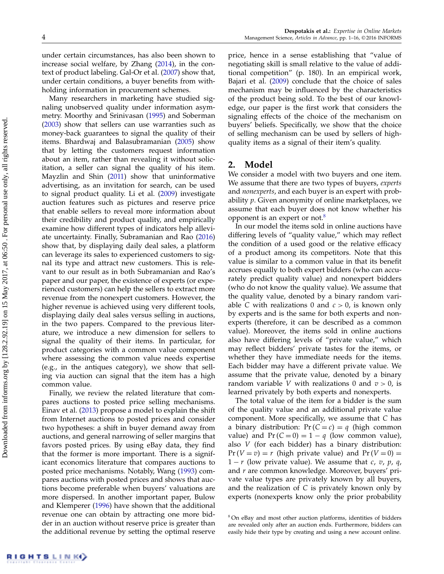under certain circumstances, has also been shown to increase social welfare, by Zhang [\(2014\)](#page-16-15), in the context of product labeling. Gal-Or et al. [\(2007\)](#page-16-16) show that, under certain conditions, a buyer benefits from withholding information in procurement schemes.

Many researchers in marketing have studied signaling unobserved quality under information asymmetry. Moorthy and Srinivasan [\(1995\)](#page-16-17) and Soberman [\(2003\)](#page-16-18) show that sellers can use warranties such as money-back guarantees to signal the quality of their items. Bhardwaj and Balasubramanian [\(2005\)](#page-16-19) show that by letting the customers request information about an item, rather than revealing it without solicitation, a seller can signal the quality of his item. Mayzlin and Shin [\(2011\)](#page-16-20) show that uninformative advertising, as an invitation for search, can be used to signal product quality. Li et al. [\(2009\)](#page-16-21) investigate auction features such as pictures and reserve price that enable sellers to reveal more information about their credibility and product quality, and empirically examine how different types of indicators help alleviate uncertainty. Finally, Subramanian and Rao [\(2016\)](#page-16-22) show that, by displaying daily deal sales, a platform can leverage its sales to experienced customers to signal its type and attract new customers. This is relevant to our result as in both Subramanian and Rao's paper and our paper, the existence of experts (or experienced customers) can help the sellers to extract more revenue from the nonexpert customers. However, the higher revenue is achieved using very different tools, displaying daily deal sales versus selling in auctions, in the two papers. Compared to the previous literature, we introduce a new dimension for sellers to signal the quality of their items. In particular, for product categories with a common value component where assessing the common value needs expertise (e.g., in the antiques category), we show that selling via auction can signal that the item has a high common value.

Finally, we review the related literature that compares auctions to posted price selling mechanisms. Einav et al. [\(2013\)](#page-16-23) propose a model to explain the shift from Internet auctions to posted prices and consider two hypotheses: a shift in buyer demand away from auctions, and general narrowing of seller margins that favors posted prices. By using eBay data, they find that the former is more important. There is a significant economics literature that compares auctions to posted price mechanisms. Notably, Wang [\(1993\)](#page-16-24) compares auctions with posted prices and shows that auctions become preferable when buyers' valuations are more dispersed. In another important paper, Bulow and Klemperer [\(1996\)](#page-16-25) have shown that the additional revenue one can obtain by attracting one more bidder in an auction without reserve price is greater than the additional revenue by setting the optimal reserve price, hence in a sense establishing that "value of negotiating skill is small relative to the value of additional competition" (p. 180). In an empirical work, Bajari et al. [\(2009\)](#page-16-26) conclude that the choice of sales mechanism may be influenced by the characteristics of the product being sold. To the best of our knowledge, our paper is the first work that considers the signaling effects of the choice of the mechanism on buyers' beliefs. Specifically, we show that the choice of selling mechanism can be used by sellers of highquality items as a signal of their item's quality.

# <span id="page-4-0"></span>2. Model

We consider a model with two buyers and one item. We assume that there are two types of buyers, experts and nonexperts, and each buyer is an expert with probability p. Given anonymity of online marketplaces, we assume that each buyer does not know whether his opponent is an expert or not.<sup>[8](#page-4-1)</sup>

In our model the items sold in online auctions have differing levels of "quality value," which may reflect the condition of a used good or the relative efficacy of a product among its competitors. Note that this value is similar to a common value in that its benefit accrues equally to both expert bidders (who can accurately predict quality value) and nonexpert bidders (who do not know the quality value). We assume that the quality value, denoted by a binary random variable C with realizations 0 and  $c > 0$ , is known only by experts and is the same for both experts and nonexperts (therefore, it can be described as a common value). Moreover, the items sold in online auctions also have differing levels of "private value," which may reflect bidders' private tastes for the items, or whether they have immediate needs for the items. Each bidder may have a different private value. We assume that the private value, denoted by a binary random variable *V* with realizations 0 and  $v > 0$ , is learned privately by both experts and nonexperts.

The total value of the item for a bidder is the sum of the quality value and an additional private value component. More specifically, we assume that C has a binary distribution:  $Pr(C = c) = q$  (high common value) and  $Pr(C = 0) = 1 - q$  (low common value), also V (for each bidder) has a binary distribution:  $Pr(V = v) = r$  (high private value) and  $Pr(V = 0) =$  $1 - r$  (low private value). We assume that c, v, p, q, and r are common knowledge. Moreover, buyers' private value types are privately known by all buyers, and the realization of  $C$  is privately known only by experts (nonexperts know only the prior probability

<span id="page-4-1"></span><sup>8</sup> On eBay and most other auction platforms, identities of bidders are revealed only after an auction ends. Furthermore, bidders can easily hide their type by creating and using a new account online.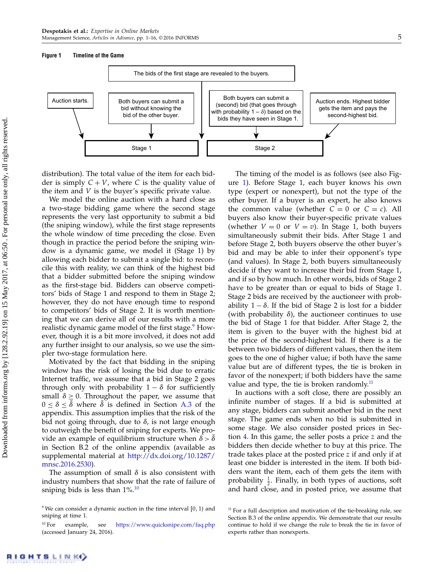#### <span id="page-5-2"></span>Figure 1 Timeline of the Game



distribution). The total value of the item for each bidder is simply  $C + V$ , where C is the quality value of the item and V is the buyer's specific private value.

We model the online auction with a hard close as a two-stage bidding game where the second stage represents the very last opportunity to submit a bid (the sniping window), while the first stage represents the whole window of time preceding the close. Even though in practice the period before the sniping window is a dynamic game, we model it (Stage 1) by allowing each bidder to submit a single bid: to reconcile this with reality, we can think of the highest bid that a bidder submitted before the sniping window as the first-stage bid. Bidders can observe competitors' bids of Stage 1 and respond to them in Stage 2; however, they do not have enough time to respond to competitors' bids of Stage 2. It is worth mentioning that we can derive all of our results with a more realistic dynamic game model of the first stage.<sup>[9](#page-5-0)</sup> However, though it is a bit more involved, it does not add any further insight to our analysis, so we use the simpler two-stage formulation here.

Motivated by the fact that bidding in the sniping window has the risk of losing the bid due to erratic Internet traffic, we assume that a bid in Stage 2 goes through only with probability  $1 - \delta$  for sufficiently small  $\delta \geq 0$ . Throughout the paper, we assume that  $0 \leq \delta \leq \delta$  where  $\delta$  is defined in Section [A.3](#page-14-0) of the appendix. This assumption implies that the risk of the bid not going through, due to  $\delta$ , is not large enough to outweigh the benefit of sniping for experts. We provide an example of equilibrium structure when  $\delta > \delta$ in Section B.2 of the online appendix (available as supplemental material at [http://dx.doi.org/10.1287/](http://dx.doi.org/10.1287/mnsc.2016.2530) [mnsc.2016.2530\)](http://dx.doi.org/10.1287/mnsc.2016.2530).

The assumption of small  $\delta$  is also consistent with industry numbers that show that the rate of failure of sniping bids is less than  $1\%$ .<sup>[10](#page-5-1)</sup>

The timing of the model is as follows (see also Figure [1\)](#page-5-2). Before Stage 1, each buyer knows his own type (expert or nonexpert), but not the type of the other buyer. If a buyer is an expert, he also knows the common value (whether  $C = 0$  or  $C = c$ ). All buyers also know their buyer-specific private values (whether  $V = 0$  or  $V = v$ ). In Stage 1, both buyers simultaneously submit their bids. After Stage 1 and before Stage 2, both buyers observe the other buyer's bid and may be able to infer their opponent's type (and values). In Stage 2, both buyers simultaneously decide if they want to increase their bid from Stage 1, and if so by how much. In other words, bids of Stage 2 have to be greater than or equal to bids of Stage 1. Stage 2 bids are received by the auctioneer with probability  $1 - \delta$ . If the bid of Stage 2 is lost for a bidder (with probability  $\delta$ ), the auctioneer continues to use the bid of Stage 1 for that bidder. After Stage 2, the item is given to the buyer with the highest bid at the price of the second-highest bid. If there is a tie between two bidders of different values, then the item goes to the one of higher value; if both have the same value but are of different types, the tie is broken in favor of the nonexpert; if both bidders have the same value and type, the tie is broken randomly.<sup>[11](#page-5-3)</sup>

In auctions with a soft close, there are possibly an infinite number of stages. If a bid is submitted at any stage, bidders can submit another bid in the next stage. The game ends when no bid is submitted in some stage. We also consider posted prices in Section [4.](#page-7-0) In this game, the seller posts a price z and the bidders then decide whether to buy at this price. The trade takes place at the posted price z if and only if at least one bidder is interested in the item. If both bidders want the item, each of them gets the item with probability  $\frac{1}{2}$ . Finally, in both types of auctions, soft and hard close, and in posted price, we assume that

<span id="page-5-0"></span><sup>&</sup>lt;sup>9</sup> We can consider a dynamic auction in the time interval  $[0, 1)$  and sniping at time 1.

<span id="page-5-1"></span><sup>10</sup> For example, see <https://www.quicksnipe.com/faq.php> (accessed January 24, 2016).

<span id="page-5-3"></span> $11$  For a full description and motivation of the tie-breaking rule, see Section B.3 of the online appendix. We demonstrate that our results continue to hold if we change the rule to break the tie in favor of experts rather than nonexperts.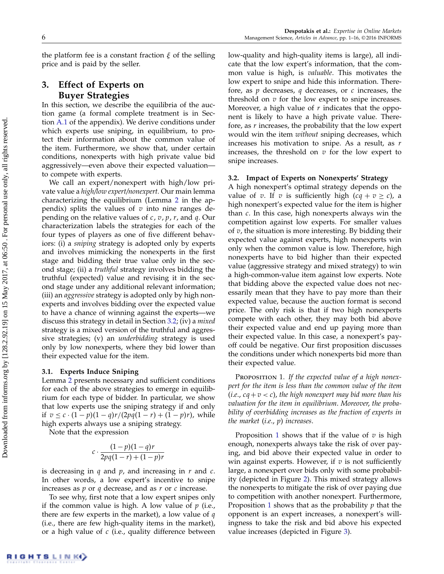the platform fee is a constant fraction  $\xi$  of the selling price and is paid by the seller.

# <span id="page-6-1"></span>3. Effect of Experts on Buyer Strategies

In this section, we describe the equilibria of the auction game (a formal complete treatment is in Section [A.1](#page-12-0) of the appendix). We derive conditions under which experts use sniping, in equilibrium, to protect their information about the common value of the item. Furthermore, we show that, under certain conditions, nonexperts with high private value bid aggressively—even above their expected valuation to compete with experts.

We call an expert/nonexpert with high/low private value a high/low expert/nonexpert. Our main lemma characterizing the equilibrium (Lemma [2](#page-12-1) in the appendix) splits the values of  $v$  into nine ranges depending on the relative values of  $c, v, p, r$ , and  $q$ . Our characterization labels the strategies for each of the four types of players as one of five different behaviors: (i) a sniping strategy is adopted only by experts and involves mimicking the nonexperts in the first stage and bidding their true value only in the second stage; (ii) a truthful strategy involves bidding the truthful (expected) value and revising it in the second stage under any additional relevant information; (iii) an *aggressive* strategy is adopted only by high nonexperts and involves bidding over the expected value to have a chance of winning against the experts—we discuss this strategy in detail in Section [3.2;](#page-6-2) (iv) a mixed strategy is a mixed version of the truthful and aggressive strategies; (v) an underbidding strategy is used only by low nonexperts, where they bid lower than their expected value for the item.

## 3.1. Experts Induce Sniping

Lemma [2](#page-12-1) presents necessary and sufficient conditions for each of the above strategies to emerge in equilibrium for each type of bidder. In particular, we show that low experts use the sniping strategy if and only if  $v \leq c \cdot (1-p)(1-q)r/(2pq(1-r) + (1-p)r)$ , while high experts always use a sniping strategy.

Note that the expression

$$
c \cdot \frac{(1-p)(1-q)r}{2pq(1-r)+(1-p)r}
$$

is decreasing in  $q$  and  $p$ , and increasing in  $r$  and  $c$ . In other words, a low expert's incentive to snipe increases as  $p$  or  $q$  decrease, and as  $r$  or  $c$  increase.

To see why, first note that a low expert snipes only if the common value is high. A low value of  $p$  (i.e., there are few experts in the market), a low value of  $q$ (i.e., there are few high-quality items in the market), or a high value of  $c$  (i.e., quality difference between low-quality and high-quality items is large), all indicate that the low expert's information, that the common value is high, is valuable. This motivates the low expert to snipe and hide this information. Therefore, as  $p$  decreases,  $q$  decreases, or  $c$  increases, the threshold on  $v$  for the low expert to snipe increases. Moreover, a high value of  $r$  indicates that the opponent is likely to have a high private value. Therefore, as  $r$  increases, the probability that the low expert would win the item without sniping decreases, which increases his motivation to snipe. As a result, as r increases, the threshold on  $v$  for the low expert to snipe increases.

## <span id="page-6-2"></span>3.2. Impact of Experts on Nonexperts' Strategy

A high nonexpert's optimal strategy depends on the value of v. If v is sufficiently high  $(cq + v \ge c)$ , a high nonexpert's expected value for the item is higher than c. In this case, high nonexperts always win the competition against low experts. For smaller values of  $v$ , the situation is more interesting. By bidding their expected value against experts, high nonexperts win only when the common value is low. Therefore, high nonexperts have to bid higher than their expected value (aggressive strategy and mixed strategy) to win a high-common-value item against low experts. Note that bidding above the expected value does not necessarily mean that they have to pay more than their expected value, because the auction format is second price. The only risk is that if two high nonexperts compete with each other, they may both bid above their expected value and end up paying more than their expected value. In this case, a nonexpert's payoff could be negative. Our first proposition discusses the conditions under which nonexperts bid more than their expected value.

<span id="page-6-0"></span>PROPOSITION 1. If the expected value of a high nonexpert for the item is less than the common value of the item (*i.e.*,  $cq + v < c$ ), the high nonexpert may bid more than his valuation for the item in equilibrium. Moreover, the probability of overbidding increases as the fraction of experts in the market  $(i.e., p)$  increases.

Proposition [1](#page-6-0) shows that if the value of  $v$  is high enough, nonexperts always take the risk of over paying, and bid above their expected value in order to win against experts. However, if  $v$  is not sufficiently large, a nonexpert over bids only with some probability (depicted in Figure [2\)](#page-7-1). This mixed strategy allows the nonexperts to mitigate the risk of over paying due to competition with another nonexpert. Furthermore, Proposition [1](#page-6-0) shows that as the probability  $p$  that the opponent is an expert increases, a nonexpert's willingness to take the risk and bid above his expected value increases (depicted in Figure [3\)](#page-7-2).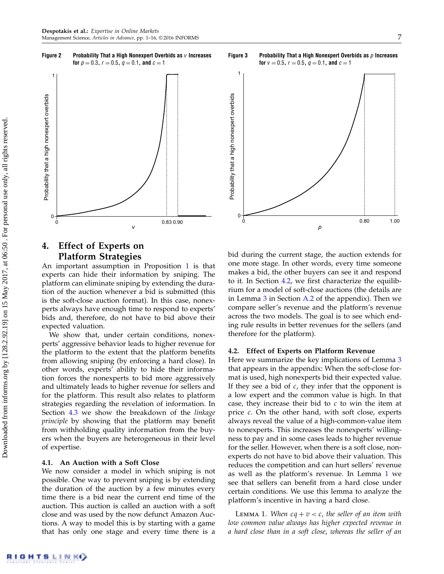<span id="page-7-1"></span>



# <span id="page-7-0"></span>4. Effect of Experts on Platform Strategies

An important assumption in Proposition [1](#page-6-0) is that experts can hide their information by sniping. The platform can eliminate sniping by extending the duration of the auction whenever a bid is submitted (this is the soft-close auction format). In this case, nonexperts always have enough time to respond to experts' bids and, therefore, do not have to bid above their expected valuation.

We show that, under certain conditions, nonexperts' aggressive behavior leads to higher revenue for the platform to the extent that the platform benefits from allowing sniping (by enforcing a hard close). In other words, experts' ability to hide their information forces the nonexperts to bid more aggressively and ultimately leads to higher revenue for sellers and for the platform. This result also relates to platform strategies regarding the revelation of information. In Section [4.3](#page-8-2) we show the breakdown of the linkage principle by showing that the platform may benefit from withholding quality information from the buyers when the buyers are heterogeneous in their level of expertise.

# 4.1. An Auction with a Soft Close

We now consider a model in which sniping is not possible. One way to prevent sniping is by extending the duration of the auction by a few minutes every time there is a bid near the current end time of the auction. This auction is called an auction with a soft close and was used by the now defunct Amazon Auctions. A way to model this is by starting with a game that has only one stage and every time there is a

<span id="page-7-2"></span>

bid during the current stage, the auction extends for one more stage. In other words, every time someone makes a bid, the other buyers can see it and respond to it. In Section [4.2,](#page-7-3) we first characterize the equilibrium for a model of soft-close auctions (the details are in Lemma [3](#page-13-0) in Section [A.2](#page-12-2) of the appendix). Then we compare seller's revenue and the platform's revenue across the two models. The goal is to see which ending rule results in better revenues for the sellers (and therefore for the platform).

# <span id="page-7-3"></span>4.2. Effect of Experts on Platform Revenue

Here we summarize the key implications of Lemma [3](#page-13-0) that appears in the appendix: When the soft-close format is used, high nonexperts bid their expected value. If they see a bid of  $c$ , they infer that the opponent is a low expert and the common value is high. In that case, they increase their bid to  $c$  to win the item at price  $c$ . On the other hand, with soft close, experts always reveal the value of a high-common-value item to nonexperts. This increases the nonexperts' willingness to pay and in some cases leads to higher revenue for the seller. However, when there is a soft close, nonexperts do not have to bid above their valuation. This reduces the competition and can hurt sellers' revenue as well as the platform's revenue. In Lemma [1](#page-7-4) we see that sellers can benefit from a hard close under certain conditions. We use this lemma to analyze the platform's incentive in having a hard close.

<span id="page-7-4"></span>**LEMMA 1.** When  $cq + v < c$ , the seller of an item with low common value always has higher expected revenue in a hard close than in a soft close, whereas the seller of an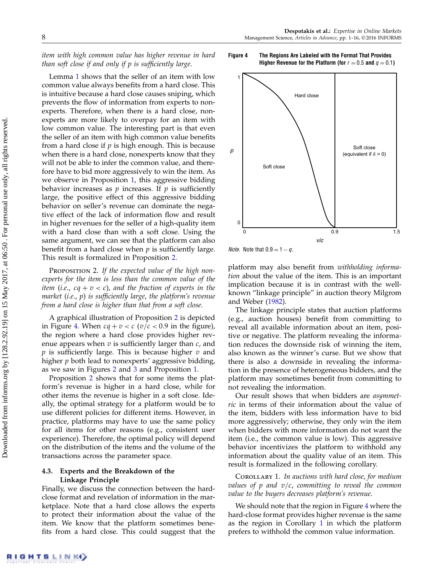item with high common value has higher revenue in hard than soft close if and only if p is sufficiently large.

Lemma [1](#page-7-4) shows that the seller of an item with low common value always benefits from a hard close. This is intuitive because a hard close causes sniping, which prevents the flow of information from experts to nonexperts. Therefore, when there is a hard close, nonexperts are more likely to overpay for an item with low common value. The interesting part is that even the seller of an item with high common value benefits from a hard close if  $p$  is high enough. This is because when there is a hard close, nonexperts know that they will not be able to infer the common value, and therefore have to bid more aggressively to win the item. As we observe in Proposition [1,](#page-6-0) this aggressive bidding behavior increases as  $p$  increases. If  $p$  is sufficiently large, the positive effect of this aggressive bidding behavior on seller's revenue can dominate the negative effect of the lack of information flow and result in higher revenues for the seller of a high-quality item with a hard close than with a soft close. Using the same argument, we can see that the platform can also benefit from a hard close when  $p$  is sufficiently large. This result is formalized in Proposition [2.](#page-8-0)

<span id="page-8-0"></span>PROPOSITION 2. If the expected value of the high nonexperts for the item is less than the common value of the item (i.e.,  $cq + v < c$ ), and the fraction of experts in the market (i.e., p) is sufficiently large, the platform's revenue from a hard close is higher than that from a soft close.

A graphical illustration of Proposition [2](#page-8-0) is depicted in Figure [4.](#page-8-3) When  $cq + v < c$  ( $v/c < 0.9$  in the figure), the region where a hard close provides higher revenue appears when  $v$  is sufficiently larger than  $c$ , and  $p$  is sufficiently large. This is because higher  $v$  and higher  $p$  both lead to nonexperts' aggressive bidding, as we saw in Figures [2](#page-7-1) and [3](#page-7-2) and Proposition [1.](#page-6-0)

Proposition [2](#page-8-0) shows that for some items the platform's revenue is higher in a hard close, while for other items the revenue is higher in a soft close. Ideally, the optimal strategy for a platform would be to use different policies for different items. However, in practice, platforms may have to use the same policy for all items for other reasons (e.g., consistent user experience). Therefore, the optimal policy will depend on the distribution of the items and the volume of the transactions across the parameter space.

# <span id="page-8-2"></span>4.3. Experts and the Breakdown of the Linkage Principle

Finally, we discuss the connection between the hardclose format and revelation of information in the marketplace. Note that a hard close allows the experts to protect their information about the value of the item. We know that the platform sometimes benefits from a hard close. This could suggest that the

<span id="page-8-3"></span>



*Note.* Note that  $0.9 = 1 - q$ .

platform may also benefit from withholding information about the value of the item. This is an important implication because it is in contrast with the wellknown "linkage principle" in auction theory Milgrom and Weber [\(1982\)](#page-16-8).

The linkage principle states that auction platforms (e.g., auction houses) benefit from committing to reveal all available information about an item, positive or negative. The platform revealing the information reduces the downside risk of winning the item, also known as the winner's curse. But we show that there is also a downside in revealing the information in the presence of heterogeneous bidders, and the platform may sometimes benefit from committing to not revealing the information.

Our result shows that when bidders are asymmetric in terms of their information about the value of the item, bidders with less information have to bid more aggressively; otherwise, they only win the item when bidders with more information do not want the item (i.e., the common value is low). This aggressive behavior incentivizes the platform to withhold any information about the quality value of an item. This result is formalized in the following corollary.

<span id="page-8-1"></span>COROLLARY 1. In auctions with hard close, for medium values of  $p$  and  $v/c$ , committing to reveal the common value to the buyers decreases platform's revenue.

We should note that the region in Figure [4](#page-8-3) where the hard-close format provides higher revenue is the same as the region in Corollary [1](#page-8-1) in which the platform prefers to withhold the common value information.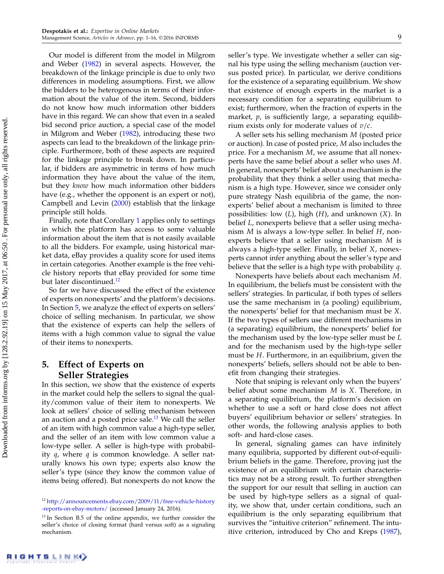Our model is different from the model in Milgrom and Weber [\(1982\)](#page-16-8) in several aspects. However, the breakdown of the linkage principle is due to only two differences in modeling assumptions. First, we allow the bidders to be heterogenous in terms of their information about the value of the item. Second, bidders do not know how much information other bidders have in this regard. We can show that even in a sealed bid second price auction, a special case of the model in Milgrom and Weber [\(1982\)](#page-16-8), introducing these two aspects can lead to the breakdown of the linkage principle. Furthermore, both of these aspects are required for the linkage principle to break down. In particular, if bidders are asymmetric in terms of how much information they have about the value of the item, but they know how much information other bidders have (e.g., whether the opponent is an expert or not), Campbell and Levin [\(2000\)](#page-16-27) establish that the linkage principle still holds.

Finally, note that Corollary [1](#page-8-1) applies only to settings in which the platform has access to some valuable information about the item that is not easily available to all the bidders. For example, using historical market data, eBay provides a quality score for used items in certain categories. Another example is the free vehicle history reports that eBay provided for some time but later discontinued.<sup>[12](#page-9-1)</sup>

So far we have discussed the effect of the existence of experts on nonexperts' and the platform's decisions. In Section [5,](#page-9-0) we analyze the effect of experts on sellers' choice of selling mechanism. In particular, we show that the existence of experts can help the sellers of items with a high common value to signal the value of their items to nonexperts.

# <span id="page-9-0"></span>5. Effect of Experts on Seller Strategies

In this section, we show that the existence of experts in the market could help the sellers to signal the quality/common value of their item to nonexperts. We look at sellers' choice of selling mechanism between an auction and a posted price sale. $13$  We call the seller of an item with high common value a high-type seller, and the seller of an item with low common value a low-type seller. A seller is high-type with probability  $q$ , where  $q$  is common knowledge. A seller naturally knows his own type; experts also know the seller's type (since they know the common value of items being offered). But nonexperts do not know the seller's type. We investigate whether a seller can signal his type using the selling mechanism (auction versus posted price). In particular, we derive conditions for the existence of a separating equilibrium. We show that existence of enough experts in the market is a necessary condition for a separating equilibrium to exist; furthermore, when the fraction of experts in the market,  $p$ , is sufficiently large, a separating equilibrium exists only for moderate values of  $v/c$ .

A seller sets his selling mechanism M (posted price or auction). In case of posted price, M also includes the price. For a mechanism  $M$ , we assume that all nonexperts have the same belief about a seller who uses M. In general, nonexperts' belief about a mechanism is the probability that they think a seller using that mechanism is a high type. However, since we consider only pure strategy Nash equilibria of the game, the nonexperts' belief about a mechanism is limited to three possibilities: low  $(L)$ , high  $(H)$ , and unknown  $(X)$ . In belief L, nonexperts believe that a seller using mechanism  $M$  is always a low-type seller. In belief  $H$ , nonexperts believe that a seller using mechanism M is always a high-type seller. Finally, in belief X, nonexperts cannot infer anything about the seller's type and believe that the seller is a high type with probability  $q$ .

Nonexperts have beliefs about each mechanism M. In equilibrium, the beliefs must be consistent with the sellers' strategies. In particular, if both types of sellers use the same mechanism in (a pooling) equilibrium, the nonexperts' belief for that mechanism must be X. If the two types of sellers use different mechanisms in (a separating) equilibrium, the nonexperts' belief for the mechanism used by the low-type seller must be L and for the mechanism used by the high-type seller must be H. Furthermore, in an equilibrium, given the nonexperts' beliefs, sellers should not be able to benefit from changing their strategies.

Note that sniping is relevant only when the buyers' belief about some mechanism M is X. Therefore, in a separating equilibrium, the platform's decision on whether to use a soft or hard close does not affect buyers' equilibrium behavior or sellers' strategies. In other words, the following analysis applies to both soft- and hard-close cases.

In general, signaling games can have infinitely many equilibria, supported by different out-of-equilibrium beliefs in the game. Therefore, proving just the existence of an equilibrium with certain characteristics may not be a strong result. To further strengthen the support for our result that selling in auction can be used by high-type sellers as a signal of quality, we show that, under certain conditions, such an equilibrium is the only separating equilibrium that survives the "intuitive criterion" refinement. The intuitive criterion, introduced by Cho and Kreps [\(1987\)](#page-16-28),

<span id="page-9-1"></span><sup>12</sup> [http://announcements.ebay.com/2009/11/free-vehicle-history](http://announcements.ebay.com/2009/11/free-vehicle-history-reports-on-ebay-motors/) [-reports-on-ebay-motors/](http://announcements.ebay.com/2009/11/free-vehicle-history-reports-on-ebay-motors/) (accessed January 24, 2016).

<span id="page-9-2"></span><sup>&</sup>lt;sup>13</sup> In Section B.5 of the online appendix, we further consider the seller's choice of closing format (hard versus soft) as a signaling mechanism.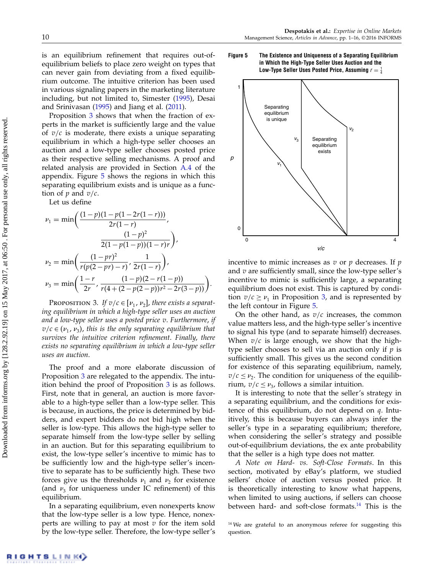is an equilibrium refinement that requires out-ofequilibrium beliefs to place zero weight on types that can never gain from deviating from a fixed equilibrium outcome. The intuitive criterion has been used in various signaling papers in the marketing literature including, but not limited to, Simester [\(1995\)](#page-16-29), Desai and Srinivasan [\(1995\)](#page-16-30) and Jiang et al. [\(2011\)](#page-16-31).

Proposition [3](#page-10-0) shows that when the fraction of experts in the market is sufficiently large and the value of  $v/c$  is moderate, there exists a unique separating equilibrium in which a high-type seller chooses an auction and a low-type seller chooses posted price as their respective selling mechanisms. A proof and related analysis are provided in Section [A.4](#page-14-1) of the appendix. Figure [5](#page-10-1) shows the regions in which this separating equilibrium exists and is unique as a function of  $p$  and  $v/c$ .

Let us define

$$
\nu_1 = \min\left(\frac{(1-p)(1-p(1-2r(1-r)))}{2r(1-r)}, \frac{(1-p)^2}{2(1-p(1-p))(1-r)r}\right),
$$

$$
\nu_2 = \min\left(\frac{(1-pr)^2}{r(p(2-pr)-r)}, \frac{1}{2r(1-r)}\right),
$$

$$
\nu_3 = \min\left(\frac{1-r}{2r}, \frac{(1-p)(2-r(1-p))}{r(4+(2-p(2-p))r^2-2r(3-p))}\right).
$$

<span id="page-10-0"></span>PROPOSITION 3. If  $v/c \in [v_1, v_2]$ , there exists a separating equilibrium in which a high-type seller uses an auction and a low-type seller uses a posted price v. Furthermore, if  $v/c \in (v_1, v_3)$ , this is the only separating equilibrium that survives the intuitive criterion refinement. Finally, there exists no separating equilibrium in which a low-type seller uses an auction.

The proof and a more elaborate discussion of Proposition [3](#page-10-0) are relegated to the appendix. The intuition behind the proof of Proposition [3](#page-10-0) is as follows. First, note that in general, an auction is more favorable to a high-type seller than a low-type seller. This is because, in auctions, the price is determined by bidders, and expert bidders do not bid high when the seller is low-type. This allows the high-type seller to separate himself from the low-type seller by selling in an auction. But for this separating equilibrium to exist, the low-type seller's incentive to mimic has to be sufficiently low and the high-type seller's incentive to separate has to be sufficiently high. These two forces give us the thresholds  $\nu_1$  and  $\nu_2$  for existence (and  $\nu_3$  for uniqueness under IC refinement) of this equilibrium.

In a separating equilibrium, even nonexperts know that the low-type seller is a low type. Hence, nonexperts are willing to pay at most  $v$  for the item sold by the low-type seller. Therefore, the low-type seller's

<span id="page-10-1"></span>Figure 5 The Existence and Uniqueness of a Separating Equilibrium in Which the High-Type Seller Uses Auction and the Low-Type Seller Uses Posted Price, Assuming  $r=\frac{1}{4}$ 



incentive to mimic increases as  $v$  or  $p$  decreases. If  $p$ and  $v$  are sufficiently small, since the low-type seller's incentive to mimic is sufficiently large, a separating equilibrium does not exist. This is captured by condition  $v/c \ge v_1$  in Proposition [3,](#page-10-0) and is represented by the left contour in Figure [5.](#page-10-1)

On the other hand, as  $v/c$  increases, the common value matters less, and the high-type seller's incentive to signal his type (and to separate himself) decreases. When  $v/c$  is large enough, we show that the hightype seller chooses to sell via an auction only if  $p$  is sufficiently small. This gives us the second condition for existence of this separating equilibrium, namely,  $v/c \leq v_2$ . The condition for uniqueness of the equilibrium,  $v/c \le v_3$ , follows a similar intuition.

It is interesting to note that the seller's strategy in a separating equilibrium, and the conditions for existence of this equilibrium, do not depend on  $q$ . Intuitively, this is because buyers can always infer the seller's type in a separating equilibrium; therefore, when considering the seller's strategy and possible out-of-equilibrium deviations, the ex ante probability that the seller is a high type does not matter.

A Note on Hard- vs. Soft-Close Formats. In this section, motivated by eBay's platform, we studied sellers' choice of auction versus posted price. It is theoretically interesting to know what happens, when limited to using auctions, if sellers can choose between hard- and soft-close formats.<sup>[14](#page-10-2)</sup> This is the

<span id="page-10-2"></span><sup>&</sup>lt;sup>14</sup> We are grateful to an anonymous referee for suggesting this question.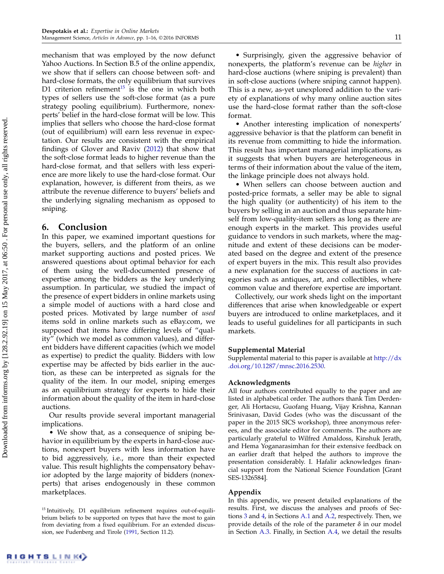mechanism that was employed by the now defunct Yahoo Auctions. In Section B.5 of the online appendix, we show that if sellers can choose between soft- and hard-close formats, the only equilibrium that survives D1 criterion refinement $15$  is the one in which both types of sellers use the soft-close format (as a pure strategy pooling equilibrium). Furthermore, nonexperts' belief in the hard-close format will be low. This implies that sellers who choose the hard-close format (out of equilibrium) will earn less revenue in expectation. Our results are consistent with the empirical findings of Glover and Raviv [\(2012\)](#page-16-10) that show that the soft-close format leads to higher revenue than the hard-close format, and that sellers with less experience are more likely to use the hard-close format. Our explanation, however, is different from theirs, as we attribute the revenue difference to buyers' beliefs and the underlying signaling mechanism as opposed to sniping.

# <span id="page-11-0"></span>6. Conclusion

In this paper, we examined important questions for the buyers, sellers, and the platform of an online market supporting auctions and posted prices. We answered questions about optimal behavior for each of them using the well-documented presence of expertise among the bidders as the key underlying assumption. In particular, we studied the impact of the presence of expert bidders in online markets using a simple model of auctions with a hard close and posted prices. Motivated by large number of used items sold in online markets such as eBay.com, we supposed that items have differing levels of "quality" (which we model as common values), and different bidders have different capacities (which we model as expertise) to predict the quality. Bidders with low expertise may be affected by bids earlier in the auction, as these can be interpreted as signals for the quality of the item. In our model, sniping emerges as an equilibrium strategy for experts to hide their information about the quality of the item in hard-close auctions.

Our results provide several important managerial implications.

• We show that, as a consequence of sniping behavior in equilibrium by the experts in hard-close auctions, nonexpert buyers with less information have to bid aggressively, i.e., more than their expected value. This result highlights the compensatory behavior adopted by the large majority of bidders (nonexperts) that arises endogenously in these common marketplaces.

• Surprisingly, given the aggressive behavior of nonexperts, the platform's revenue can be higher in hard-close auctions (where sniping is prevalent) than in soft-close auctions (where sniping cannot happen). This is a new, as-yet unexplored addition to the variety of explanations of why many online auction sites use the hard-close format rather than the soft-close format.

• Another interesting implication of nonexperts' aggressive behavior is that the platform can benefit in its revenue from committing to hide the information. This result has important managerial implications, as it suggests that when buyers are heterogeneous in terms of their information about the value of the item, the linkage principle does not always hold.

• When sellers can choose between auction and posted-price formats, a seller may be able to signal the high quality (or authenticity) of his item to the buyers by selling in an auction and thus separate himself from low-quality-item sellers as long as there are enough experts in the market. This provides useful guidance to vendors in such markets, where the magnitude and extent of these decisions can be moderated based on the degree and extent of the presence of expert buyers in the mix. This result also provides a new explanation for the success of auctions in categories such as antiques, art, and collectibles, where common value and therefore expertise are important.

Collectively, our work sheds light on the important differences that arise when knowledgeable or expert buyers are introduced to online marketplaces, and it leads to useful guidelines for all participants in such markets.

## Supplemental Material

Supplemental material to this paper is available at [http://dx](http://dx.doi.org/10.1287/mnsc.2016.2530) [.doi.org/10.1287/mnsc.2016.2530.](http://dx.doi.org/10.1287/mnsc.2016.2530)

## Acknowledgments

All four authors contributed equally to the paper and are listed in alphabetical order. The authors thank Tim Derdenger, Ali Hortacsu, Guofang Huang, Vijay Krishna, Kannan Srinivasan, David Godes (who was the discussant of the paper in the 2015 SICS workshop), three anonymous referees, and the associate editor for comments. The authors are particularly grateful to Wilfred Amaldoss, Kinshuk Jerath, and Hema Yoganarasimhan for their extensive feedback on an earlier draft that helped the authors to improve the presentation considerably. I. Hafalir acknowledges financial support from the National Science Foundation [Grant SES-1326584].

#### Appendix

In this appendix, we present detailed explanations of the results. First, we discuss the analyses and proofs of Sections [3](#page-6-1) and [4,](#page-7-0) in Sections [A.1](#page-12-0) and [A.2,](#page-12-2) respectively. Then, we provide details of the role of the parameter  $\delta$  in our model in Section [A.3.](#page-14-0) Finally, in Section [A.4,](#page-14-1) we detail the results

<span id="page-11-1"></span><sup>&</sup>lt;sup>15</sup> Intuitively, D1 equilibrium refinement requires out-of-equilibrium beliefs to be supported on types that have the most to gain from deviating from a fixed equilibrium. For an extended discussion, see Fudenberg and Tirole [\(1991,](#page-16-32) Section 11.2).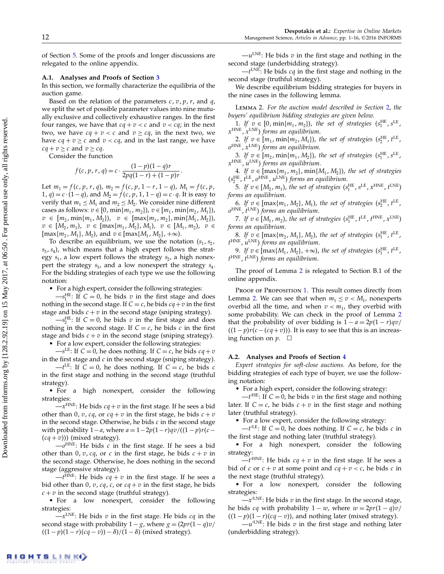of Section [5.](#page-9-0) Some of the proofs and longer discussions are relegated to the online appendix.

#### <span id="page-12-0"></span>A.1. Analyses and Proofs of Section [3](#page-6-1)

In this section, we formally characterize the equilibria of the auction game.

Based on the relation of the parameters  $c, v, p, r$ , and q, we split the set of possible parameter values into nine mutually exclusive and collectively exhaustive ranges. In the first four ranges, we have that  $cq + v < c$  and  $v < cq$ ; in the next two, we have  $cq + v < c$  and  $v \ge cq$ , in the next two, we have  $cq + v \geq c$  and  $v < cq$ , and in the last range, we have  $cq + v > c$  and  $v > cq$ .

Consider the function

$$
f(c, p, r, q) = c \cdot \frac{(1-p)(1-q)r}{2pq(1-r) + (1-p)r}.
$$

Let  $m_1 = f(c, p, r, q)$ ,  $m_2 = f(c, p, 1 - r, 1 - q)$ ,  $M_1 = f(c, p, q)$ 1, *q*) = *c* · (1−*q*), and  $M_2 = f(c, p, 1, 1-q) = c \cdot q$ . It is easy to verify that  $m_1 \leq M_1$  and  $m_2 \leq M_2$ . We consider nine different cases as follows:  $v \in [0, \min\{m_1, m_2\}), v \in [m_1, \min\{m_2, M_1\}),$  $v \in [m_2, \min\{m_1, M_2\}), v \in [\max\{m_1, m_2\}, \min\{M_1, M_2\}),$  $v \in [M_2, m_1), v \in [max\{m_1, M_2\}, M_1), v \in [M_1, m_2), v \in$  $[\max\{m_2, M_1\}, M_2)$ , and  $v \in [\max\{M_1, M_2\}, +\infty)$ .

To describe an equilibrium, we use the notation  $(s_1, s_2,$  $s_3$ ,  $s_4$ ), which means that a high expert follows the strategy  $s_1$ , a low expert follows the strategy  $s_2$ , a high nonexpert the strategy  $s_3$ , and a low nonexpert the strategy  $s_4$ . For the bidding strategies of each type we use the following notation:

• For a high expert, consider the following strategies:

 $-s_1^{\text{HE}}$ : If  $C = 0$ , he bids v in the first stage and does nothing in the second stage. If  $C = c$ , he bids  $cq + v$  in the first stage and bids  $c + v$  in the second stage (sniping strategy).

 $-s_2^{\text{HE}}$ : If  $C = 0$ , he bids v in the first stage and does nothing in the second stage. If  $C = c$ , he bids c in the first stage and bids  $c + v$  in the second stage (sniping strategy).

• For a low expert, consider the following strategies:

 $-s^{\text{LE}}$ : If  $C = 0$ , he does nothing. If  $C = c$ , he bids  $cq + v$ in the first stage and  $c$  in the second stage (sniping strategy).

 $-t^{\text{LE}}$ : If  $C = 0$ , he does nothing. If  $C = c$ , he bids c in the first stage and nothing in the second stage (truthful strategy).

• For a high nonexpert, consider the following strategies:

 $-x^{\text{HNE}}$ : He bids  $cq + v$  in the first stage. If he sees a bid other than 0, v, cq, or  $cq + v$  in the first stage, he bids  $c + v$ in the second stage. Otherwise, he bids  $c$  in the second stage with probability  $1-a$ , where  $a = 1-2p(1-r)qv/((1-p)r(c (cq + v))$  (mixed strategy).

 $-o^{\text{HNE}}$ : He bids  $c$  in the first stage. If he sees a bid other than 0, v, cq, or c in the first stage, he bids  $c + v$  in the second stage. Otherwise, he does nothing in the second stage (aggressive strategy).

 $-t^{\text{HNE}}$ : He bids  $cq + v$  in the first stage. If he sees a bid other than 0, v, cq, c, or  $cq + v$  in the first stage, he bids  $c + v$  in the second stage (truthful strategy).

• For a low nonexpert, consider the following strategies:

 $-x^{\text{LNE}}$ : He bids  $v$  in the first stage. He bids  $cq$  in the second stage with probability  $1-g$ , where  $g = (2pr(1 - q)v)$  $((1-p)(1-r)(cq-v)) - \delta$ / $(1-\delta)$  (mixed strategy).

 $-u^{\text{LNE}}$ : He bids  $v$  in the first stage and nothing in the second stage (underbidding strategy).

 $-t^{\text{LNE}}$ : He bids  $cq$  in the first stage and nothing in the second stage (truthful strategy).

We describe equilibrium bidding strategies for buyers in the nine cases in the following lemma.

<span id="page-12-1"></span>Lemma 2. For the auction model described in Section [2,](#page-4-0) the buyers' equilibrium bidding strategies are given below.

1. If  $v \in [0, \min\{m_1, m_2\})$ , the set of strategies  $(s_1^{\text{HE}}, s^{\text{LE}}, s^{\text{HE}})$  $x^{\rm HNE}$ ,  $x^{\rm LNE}$ ) forms an equilibrium.

2. If  $v \in [m_1, \min\{m_2, M_1\})$ , the set of strategies  $(s_2^{\text{HE}}, t^{\text{LE}}, t^{\text{HE}})$  $o^{\rm HNE}$ ,  $x^{\rm LNE}$ ) forms an equilibrium.

3. If  $v \in [m_2, \min\{m_1, M_2\})$ , the set of strategies  $(s_1^{\text{HE}}, s^{\text{LE}}, s^{\text{HE}})$  $x^{\rm HNE}$ , u<sup>LNE</sup>) forms an equilibrium.

4. If  $v \in [\max\{m_1, m_2\}, \min\{M_1, M_2\})$ , the set of strategies  $(s_2^{\text{HE}}, t^{\text{LE}}, o^{\text{HNE}}, u^{\text{LNE}})$  forms an equilibrium.

5. If  $v \in [M_2, m_1)$ , the set of strategies  $(s_1^{\text{HE}}, s^{\text{LE}}, x^{\text{HNE}}, t^{\text{LNE}})$ forms an equilibrium.

6. If  $v \in [\max\{m_1, M_2\}, M_1)$ , the set of strategies  $(s_2^{\text{HE}}, t^{\text{LE}}, t^{\text{HE}})$  $o^{\text{HNE}}$ ,  $t^{\text{LNE}}$ ) forms an equilibrium.

7. If  $v \in [M_1, m_2)$ , the set of strategies  $(s_1^{\text{HE}}, t^{\text{LE}}, t^{\text{HNE}}, x^{\text{LNE}})$ forms an equilibrium.

8. If  $v \in [\max\{m_2, M_1\}, M_2)$ , the set of strategies  $(s_1^{\text{HE}}, t^{\text{LE}}, t^{\text{HE}})$  $t^{\text{HNE}}$ ,  $u^{\text{LNE}}$ ) forms an equilibrium.

9. If  $v \in [\max\{M_1, M_2\}, +\infty)$ , the set of strategies  $(s_1^{\text{HE}}, t^{\text{LE}}, t^{\text{HE}})$  $t^{\text{HNE}}$ ,  $t^{\text{LNE}}$ ) forms an equilibrium.

The proof of Lemma [2](#page-12-1) is relegated to Section B.1 of the online appendix.

PROOF OF PROPOSITION [1.](#page-6-0) This result comes directly from Lemma [2.](#page-12-1) We can see that when  $m_1 \le v < M_1$ , nonexperts overbid all the time, and when  $v < m_1$ , they overbid with some probability. We can check in the proof of Lemma [2](#page-12-1) that the probability of over bidding is  $1 - a = 2p(1 - r)qv/$  $((1-p)r(c-(cq+v)))$ . It is easy to see that this is an increasing function on  $p$ .  $\Box$ 

#### <span id="page-12-2"></span>A.2. Analyses and Proofs of Section [4](#page-7-0)

Expert strategies for soft-close auctions. As before, for the bidding strategies of each type of buyer, we use the following notation:

• For a high expert, consider the following strategy:

 $-t'$ <sup>HE</sup>: If  $C = 0$ , he bids v in the first stage and nothing later. If  $C = c$ , he bids  $c + v$  in the first stage and nothing later (truthful strategy).

• For a low expert, consider the following strategy:

 $-t^{\prime LE}$ : If  $C = 0$ , he does nothing. If  $C = c$ , he bids c in the first stage and nothing later (truthful strategy).

• For a high nonexpert, consider the following strategy:

 $-t'^{HNE}$ : He bids  $cq + v$  in the first stage. If he sees a bid of c or  $c + v$  at some point and  $cq + v < c$ , he bids c in the next stage (truthful strategy).

• For a low nonexpert, consider the following strategies:

 $-x^{\prime}$ LNE: He bids  $v$  in the first stage. In the second stage, he bids cq with probability  $1 - w$ , where  $w = 2pr(1 - q)v/$  $((1-p)(1-r)(cq - v))$ , and nothing later (mixed strategy).

 $-u'^{LNE}$ : He bids v in the first stage and nothing later (underbidding strategy).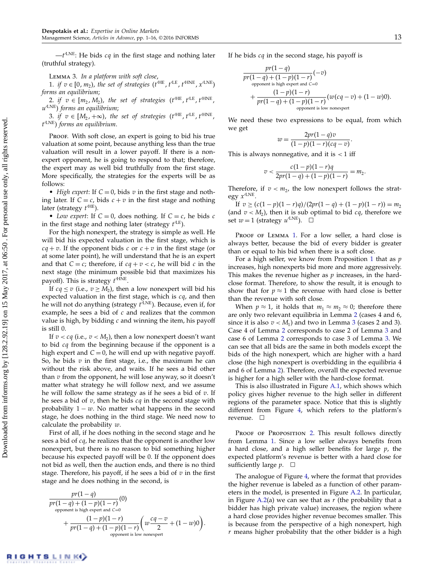$-t^{\prime LNE}$ : He bids  $cq$  in the first stage and nothing later (truthful strategy).

<span id="page-13-0"></span>Lemma 3. In a platform with soft close,

1. if  $v \in [0, m_2)$ , the set of strategies  $(t^{\text{HE}}, t^{\text{LE}}, t^{\text{HNE}}, x^{\text{LNE}})$ forms an equilibrium;

2. if  $v \in [m_2, M_2)$ , the set of strategies  $(t'^{HE}, t'^{LE}, t'^{HNE}, t'^{HNE})$ u'<sup>LNE</sup>) forms an equilibrium;

3. if  $v \in [M_2, +\infty)$ , the set of strategies  $(t^{\text{HE}}, t^{\text{LE}}, t^{\text{HNE}}, t^{\text{HNE}})$  $t^{\prime\text{LNE}}$ ) forms an equilibrium.

Proof. With soft close, an expert is going to bid his true valuation at some point, because anything less than the true valuation will result in a lower payoff. If there is a nonexpert opponent, he is going to respond to that; therefore, the expert may as well bid truthfully from the first stage. More specifically, the strategies for the experts will be as follows:

• High expert: If  $C = 0$ , bids v in the first stage and nothing later. If  $C = c$ , bids  $c + v$  in the first stage and nothing later (strategy  $t^{\prime HE}$ ).

• Low expert: If  $C = 0$ , does nothing. If  $C = c$ , he bids c in the first stage and nothing later (strategy  $t'^{LE}$ ).

For the high nonexpert, the strategy is simple as well. He will bid his expected valuation in the first stage, which is  $cq + v$ . If the opponent bids c or  $c + v$  in the first stage (or at some later point), he will understand that he is an expert and that  $C = c$ ; therefore, if  $cq + v < c$ , he will bid c in the next stage (the minimum possible bid that maximizes his payoff). This is strategy  $t'^{\text{HNE}}$ .

If  $cq \le v$  (i.e.,  $v \ge M_2$ ), then a low nonexpert will bid his expected valuation in the first stage, which is  $cq$ , and then he will not do anything (strategy  $t^{\prime\text{LNE}}$ ). Because, even if, for example, he sees a bid of  $c$  and realizes that the common value is high, by bidding  $c$  and winning the item, his payoff is still 0.

If  $v < c q$  (i.e.,  $v < M_2$ ), then a low nonexpert doesn't want to bid  $cq$  from the beginning because if the opponent is a high expert and  $C = 0$ , he will end up with negative payoff. So, he bids  $v$  in the first stage, i.e., the maximum he can without the risk above, and waits. If he sees a bid other than  $v$  from the opponent, he will lose anyway, so it doesn't matter what strategy he will follow next, and we assume he will follow the same strategy as if he sees a bid of  $v$ . If he sees a bid of  $v$ , then he bids  $cq$  in the second stage with probability  $1 - w$ . No matter what happens in the second stage, he does nothing in the third stage. We need now to calculate the probability  $w$ .

First of all, if he does nothing in the second stage and he sees a bid of *cq*, he realizes that the opponent is another low nonexpert, but there is no reason to bid something higher because his expected payoff will be 0. If the opponent does not bid as well, then the auction ends, and there is no third stage. Therefore, his payoff, if he sees a bid of  $v$  in the first stage and he does nothing in the second, is

$$
pr(1-q)
$$
  
\n
$$
pr(1-q) + (1-p)(1-r)
$$
  
\n
$$
+ (1-p)(1-r)
$$
  
\n+ 
$$
\frac{(1-p)(1-r)}{pr(1-q) + (1-p)(1-r)} \left( w \frac{cq-v}{2} + (1-w)0 \right).
$$
  
\n
$$
+ \frac{(1-p)(1-r)}{opponent is low nonexpert}
$$

If he bids  $cq$  in the second stage, his payoff is

$$
pr(1-q)
$$
  
\n
$$
pr(1-q) + (1-p)(1-r)
$$
  
\n
$$
+ (1-p)(1-r)
$$
  
\n+ 
$$
\frac{(1-p)(1-r)}{pr(1-q) + (1-p)(1-r)}
$$
  
\n
$$
= (w(cq - v) + (1-w)0).
$$
  
\n
$$
= (w(cq - v) + (1-w)0).
$$

We need these two expressions to be equal, from which we get

$$
w=\frac{2pr(1-q)v}{(1-p)(1-r)(cq-v)}.
$$

This is always nonnegative, and it is  $<$  1 iff

$$
v < \frac{c(1-p)(1-r)q}{2pr(1-q) + (1-p)(1-r)} = m_2.
$$

Therefore, if  $v < m_2$ , the low nonexpert follows the strategy  $x^{\prime LNE}$ .

If  $v \ge (c(1-p)(1-r)q)/(2pr(1-q) + (1-p)(1-r)) = m_2$ (and  $v < M_2$ ), then it is sub optimal to bid  $cq$ , therefore we set  $w = 1$  (strategy  $u'^{\text{LNE}}$ ).  $\Box$ 

PROOF OF LEMMA [1.](#page-7-4) For a low seller, a hard close is always better, because the bid of every bidder is greater than or equal to his bid when there is a soft close.

For a high seller, we know from Proposition [1](#page-6-0) that as  $p$ increases, high nonexperts bid more and more aggressively. This makes the revenue higher as  $p$  increases, in the hardclose format. Therefore, to show the result, it is enough to show that for  $p \approx 1$  the revenue with hard close is better than the revenue with soft close.

When  $p \approx 1$ , it holds that  $m_1 \approx m_2 \approx 0$ ; therefore there are only two relevant equilibria in Lemma [2](#page-12-1) (cases 4 and 6, since it is also  $v < M_1$ ) and two in Lemma [3](#page-13-0) (cases 2 and 3). Case 4 of Lemma [2](#page-12-1) corresponds to case 2 of Lemma [3](#page-13-0) and case 6 of Lemma [2](#page-12-1) corresponds to case 3 of Lemma [3.](#page-13-0) We can see that all bids are the same in both models except the bids of the high nonexpert, which are higher with a hard close (the high nonexpert is overbidding in the equilibria 4 and 6 of Lemma [2\)](#page-12-1). Therefore, overall the expected revenue is higher for a high seller with the hard-close format.

This is also illustrated in Figure [A.1,](#page-14-2) which shows which policy gives higher revenue to the high seller in different regions of the parameter space. Notice that this is slightly different from Figure [4,](#page-8-3) which refers to the platform's revenue.

PROOF OF PROPOSITION [2.](#page-8-0) This result follows directly from Lemma [1.](#page-7-4) Since a low seller always benefits from a hard close, and a high seller benefits for large  $p$ , the expected platform's revenue is better with a hard close for sufficiently large  $p$ .  $\Box$ 

The analogue of Figure [4,](#page-8-3) where the format that provides the higher revenue is labeled as a function of other parameters in the model, is presented in Figure [A.2.](#page-14-3) In particular, in Figure [A.2\(](#page-14-3)a) we can see that as  $r$  (the probability that a bidder has high private value) increases, the region where a hard close provides higher revenue becomes smaller. This is because from the perspective of a high nonexpert, high  $r$  means higher probability that the other bidder is a high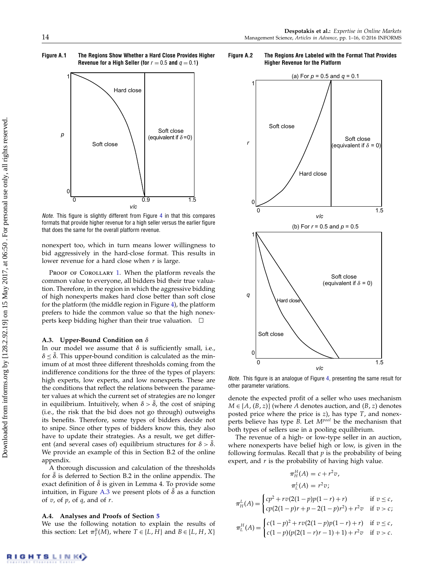Figure A.1 The Regions Show Whether a Hard Close Provides Higher Revenue for a High Seller (for  $r = 0.5$  and  $q = 0.1$ )

<span id="page-14-2"></span>

Note. This figure is slightly different from Figure [4](#page-8-3) in that this compares formats that provide higher revenue for a high seller versus the earlier figure that does the same for the overall platform revenue.

nonexpert too, which in turn means lower willingness to bid aggressively in the hard-close format. This results in lower revenue for a hard close when  $r$  is large.

PROOF OF COROLLARY [1.](#page-8-1) When the platform reveals the common value to everyone, all bidders bid their true valuation. Therefore, in the region in which the aggressive bidding of high nonexperts makes hard close better than soft close for the platform (the middle region in Figure [4\)](#page-8-3), the platform prefers to hide the common value so that the high nonexperts keep bidding higher than their true valuation.  $\square$ 

#### <span id="page-14-0"></span>A.3. Upper-Bound Condition on  $\delta$

In our model we assume that  $\delta$  is sufficiently small, i.e.,  $\delta \leq \bar{\delta}$ . This upper-bound condition is calculated as the minimum of at most three different thresholds coming from the indifference conditions for the three of the types of players: high experts, low experts, and low nonexperts. These are the conditions that reflect the relations between the parameter values at which the current set of strategies are no longer in equilibrium. Intuitively, when  $\delta > \overline{\delta}$ , the cost of sniping (i.e., the risk that the bid does not go through) outweighs its benefits. Therefore, some types of bidders decide not to snipe. Since other types of bidders know this, they also have to update their strategies. As a result, we get different (and several cases of) equilibrium structures for  $\delta > \bar{\delta}$ . We provide an example of this in Section B.2 of the online appendix.

A thorough discussion and calculation of the thresholds for  $\delta$  is deferred to Section B.2 in the online appendix. The exact definition of  $\bar{\delta}$  is given in Lemma 4. To provide some intuition, in Figure [A.3](#page-15-0) we present plots of  $\bar{\delta}$  as a function of  $v$ , of  $p$ , of  $q$ , and of  $r$ .

# <span id="page-14-1"></span>A.4. Analyses and Proofs of Section [5](#page-9-0)

We use the following notation to explain the results of this section: Let  $\pi_I^B(M)$ , where  $T \in \{L, H\}$  and  $B \in \{L, H, X\}$ 

Figure A.2 The Regions Are Labeled with the Format That Provides Higher Revenue for the Platform

<span id="page-14-3"></span>

Note. This figure is an analogue of Figure [4,](#page-8-3) presenting the same result for other parameter variations.

denote the expected profit of a seller who uses mechanism  $M \in \{A, (B, z)\}\$  (where A denotes auction, and  $(B, z)$  denotes posted price where the price is  $z$ ), has type  $T$ , and nonexperts believe has type  $\overrightarrow{B}$ . Let  $M^{pool}$  be the mechanism that both types of sellers use in a pooling equilibrium.

The revenue of a high- or low-type seller in an auction, where nonexperts have belief high or low, is given in the following formulas. Recall that  $p$  is the probability of being expert, and  $r$  is the probability of having high value.

$$
\pi_H^H(A) = c + r^2 v,
$$
  
\n
$$
\pi_L^L(A) = r^2 v;
$$
  
\n
$$
rv(2(1-p)p(1-r) + r)
$$

if  $v < c$ ,

 $\sqrt{ }$ 

$$
\pi_{H}^{L}(A) = \begin{cases}\nc\rho + r\upsilon(2\upsilon + p\upsilon(1 - r) + r) & \text{if } \upsilon \leq \upsilon, \\
cp(2(1 - p)r + p - 2(1 - p)r^{2}) + r^{2}\upsilon & \text{if } \upsilon > \upsilon; \\
\pi_{L}^{H}(A) = \begin{cases}\nc(1 - p)^{2} + r\upsilon(2(1 - p)p(1 - r) + r) & \text{if } \upsilon \leq \upsilon, \\
c(1 - p)(p(2(1 - r)r - 1) + 1) + r^{2}\upsilon & \text{if } \upsilon > \upsilon.\n\end{cases}
$$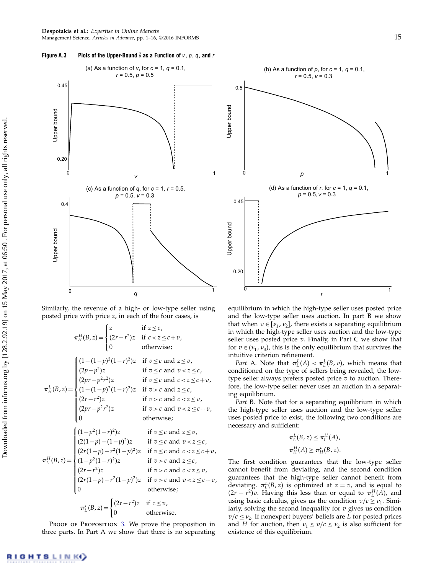## <span id="page-15-0"></span>Figure A.3 Plots of the Upper-Bound  $\bar{\delta}$  as a Function of  $v, p, q$ , and r



Similarly, the revenue of a high- or low-type seller using posted price with price z, in each of the four cases, is

$$
\pi_H^H(B, z) = \begin{cases}\nz & \text{if } z \leq c, \\
(2r - r^2)z & \text{if } c < z \leq c + v, \\
0 & \text{otherwise;} \n\end{cases}
$$
\n
$$
\pi_H^L(B, z) = \begin{cases}\n(1 - (1 - p)^2 (1 - r)^2)z & \text{if } v \leq c \text{ and } z \leq v, \\
(2p - p^2)z & \text{if } v \leq c \text{ and } v < z \leq c, \\
(2pr - p^2 r^2)z & \text{if } v > c \text{ and } c < z \leq c + v, \\
(1 - (1 - p)^2 (1 - r)^2)z & \text{if } v > c \text{ and } c < z \leq v, \\
(2pr - p^2 r^2)z & \text{if } v > c \text{ and } c < z \leq v, \\
(2pr - p^2 r^2)z & \text{if } v > c \text{ and } v < z \leq c + v, \\
0 & \text{otherwise;} \n\end{cases}
$$
\n
$$
\pi_L^H(B, z) = \begin{cases}\n(1 - p^2 (1 - r)^2)z & \text{if } v \leq c \text{ and } z \leq v, \\
(2r(1 - p) - (1 - p)^2)z & \text{if } v \leq c \text{ and } c < z \leq c + v, \\
(1 - p^2 (1 - r)^2)z & \text{if } v > c \text{ and } c < z \leq v, \\
(2r(1 - p) - r^2 (1 - p)^2)z & \text{if } v > c \text{ and } c < z \leq v, \\
(2r(1 - p) - r^2 (1 - p)^2)z & \text{if } v > c \text{ and } c < z \leq c + v, \\
0 & \text{otherwise;} \n\end{cases}
$$
\n
$$
\pi_L^L(B, z) = \begin{cases}\n(2r - r^2)z & \text{if } z \leq v, \\
(2r - r^2)z & \text{if } z \leq v, \\
0 & \text{otherwise.}\n\end{cases}
$$

PROOF OF PROPOSITION [3.](#page-10-0) We prove the proposition in three parts. In Part A we show that there is no separating



equilibrium in which the high-type seller uses posted price and the low-type seller uses auction. In part B we show that when  $v \in [\nu_1, \nu_2]$ , there exists a separating equilibrium in which the high-type seller uses auction and the low-type seller uses posted price  $v$ . Finally, in Part C we show that for  $v \in (\nu_1, \nu_3)$ , this is the only equilibrium that survives the intuitive criterion refinement.

*Part* A. Note that  $\pi_L^L(A) < \pi_L^L(B, v)$ , which means that conditioned on the type of sellers being revealed, the lowtype seller always prefers posted price  $v$  to auction. Therefore, the low-type seller never uses an auction in a separating equilibrium.

Part B. Note that for a separating equilibrium in which the high-type seller uses auction and the low-type seller uses posted price to exist, the following two conditions are necessary and sufficient:

$$
\pi_L^L(B, z) \leq \pi_L^H(A),
$$
  

$$
\pi_H^H(A) \geq \pi_H^L(B, z).
$$

The first condition guarantees that the low-type seller cannot benefit from deviating, and the second condition guarantees that the high-type seller cannot benefit from deviating.  $\pi_L^L(B, z)$  is optimized at  $z = v$ , and is equal to  $(2r - r^2)v$ . Having this less than or equal to  $\pi_L^H(A)$ , and using basic calculus, gives us the condition  $v/c \ge v_1$ . Similarly, solving the second inequality for  $v$  gives us condition  $v/c \leq v_2$ . If nonexpert buyers' beliefs are L for posted prices and *H* for auction, then  $\nu_1 \le \nu/c \le \nu_2$  is also sufficient for existence of this equilibrium.